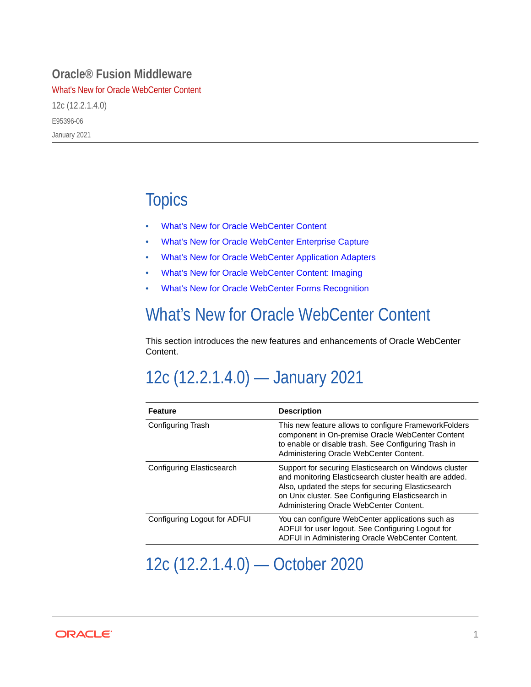#### **Oracle® Fusion Middleware**

What's New for Oracle WebCenter Content

12c (12.2.1.4.0) E95396-06 January 2021

#### **Topics**

- What's New for Oracle WebCenter Content
- [What's New for Oracle WebCenter Enterprise Capture](#page-4-0)
- [What's New for Oracle WebCenter Application Adapters](#page-5-0)
- [What's New for Oracle WebCenter Content: Imaging](#page-6-0)
- [What's New for Oracle WebCenter Forms Recognition](#page-7-0)

#### What's New for Oracle WebCenter Content

This section introduces the new features and enhancements of Oracle WebCenter Content.

### 12c (12.2.1.4.0) — January 2021

| <b>Feature</b>               | <b>Description</b>                                                                                                                                                                                                                                                    |
|------------------------------|-----------------------------------------------------------------------------------------------------------------------------------------------------------------------------------------------------------------------------------------------------------------------|
| Configuring Trash            | This new feature allows to configure Framework Folders<br>component in On-premise Oracle WebCenter Content<br>to enable or disable trash. See Configuring Trash in<br>Administering Oracle WebCenter Content.                                                         |
| Configuring Elasticsearch    | Support for securing Elasticsearch on Windows cluster<br>and monitoring Elasticsearch cluster health are added.<br>Also, updated the steps for securing Elasticsearch<br>on Unix cluster. See Configuring Elasticsearch in<br>Administering Oracle WebCenter Content. |
| Configuring Logout for ADFUI | You can configure WebCenter applications such as<br>ADFUI for user logout. See Configuring Logout for<br>ADFUI in Administering Oracle WebCenter Content.                                                                                                             |

12c (12.2.1.4.0) — October 2020

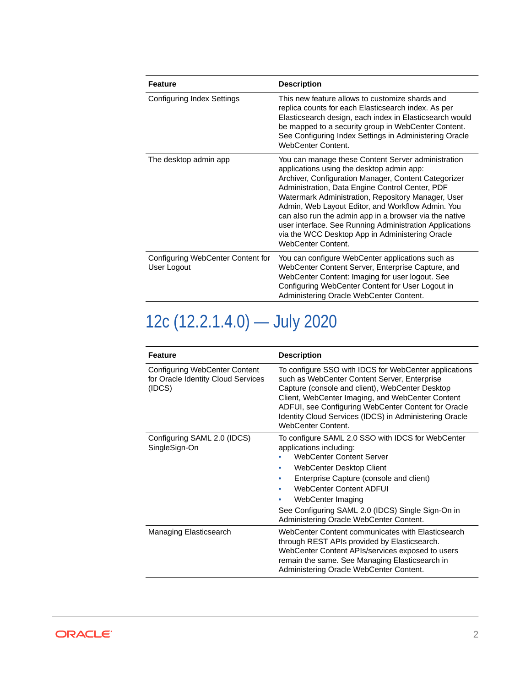| <b>Feature</b>                                   | <b>Description</b>                                                                                                                                                                                                                                                                                                                                                                                                                                                                                                         |
|--------------------------------------------------|----------------------------------------------------------------------------------------------------------------------------------------------------------------------------------------------------------------------------------------------------------------------------------------------------------------------------------------------------------------------------------------------------------------------------------------------------------------------------------------------------------------------------|
| Configuring Index Settings                       | This new feature allows to customize shards and<br>replica counts for each Elasticsearch index. As per<br>Elasticsearch design, each index in Elasticsearch would<br>be mapped to a security group in WebCenter Content.<br>See Configuring Index Settings in Administering Oracle<br>WebCenter Content.                                                                                                                                                                                                                   |
| The desktop admin app                            | You can manage these Content Server administration<br>applications using the desktop admin app:<br>Archiver, Configuration Manager, Content Categorizer<br>Administration, Data Engine Control Center, PDF<br>Watermark Administration, Repository Manager, User<br>Admin, Web Layout Editor, and Workflow Admin. You<br>can also run the admin app in a browser via the native<br>user interface. See Running Administration Applications<br>via the WCC Desktop App in Administering Oracle<br><b>WebCenter Content.</b> |
| Configuring WebCenter Content for<br>User Logout | You can configure WebCenter applications such as<br>WebCenter Content Server, Enterprise Capture, and<br>WebCenter Content: Imaging for user logout. See<br>Configuring WebCenter Content for User Logout in<br>Administering Oracle WebCenter Content.                                                                                                                                                                                                                                                                    |

# 12c (12.2.1.4.0) — July 2020

| <b>Feature</b>                                                                       | <b>Description</b>                                                                                                                                                                                                                                                                                                                                         |
|--------------------------------------------------------------------------------------|------------------------------------------------------------------------------------------------------------------------------------------------------------------------------------------------------------------------------------------------------------------------------------------------------------------------------------------------------------|
| <b>Configuring WebCenter Content</b><br>for Oracle Identity Cloud Services<br>(IDCS) | To configure SSO with IDCS for WebCenter applications<br>such as WebCenter Content Server, Enterprise<br>Capture (console and client), WebCenter Desktop<br>Client, WebCenter Imaging, and WebCenter Content<br>ADFUI, see Configuring WebCenter Content for Oracle<br>Identity Cloud Services (IDCS) in Administering Oracle<br><b>WebCenter Content.</b> |
| Configuring SAML 2.0 (IDCS)<br>SingleSign-On                                         | To configure SAML 2.0 SSO with IDCS for WebCenter<br>applications including:<br><b>WebCenter Content Server</b><br>WebCenter Desktop Client<br>Enterprise Capture (console and client)<br><b>WebCenter Content ADFUI</b><br>WebCenter Imaging<br>See Configuring SAML 2.0 (IDCS) Single Sign-On in<br>Administering Oracle WebCenter Content.              |
| Managing Elasticsearch                                                               | WebCenter Content communicates with Elasticsearch<br>through REST APIs provided by Elasticsearch.<br>WebCenter Content APIs/services exposed to users<br>remain the same. See Managing Elasticsearch in<br>Administering Oracle WebCenter Content.                                                                                                         |

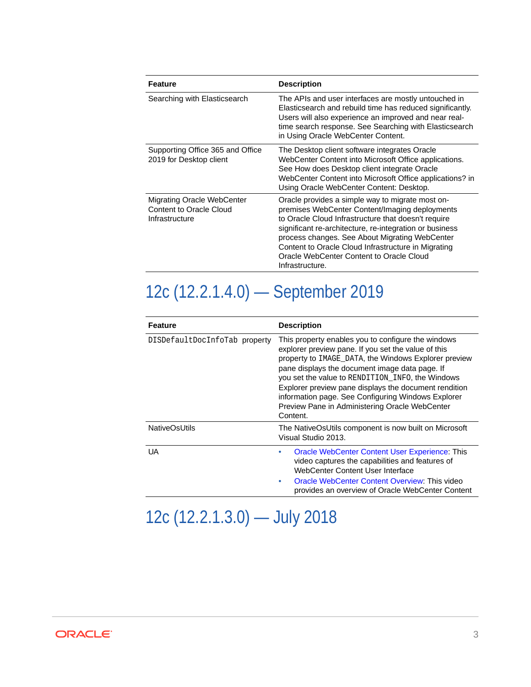| Feature                                                                               | <b>Description</b>                                                                                                                                                                                                                                                                                                                                                                           |
|---------------------------------------------------------------------------------------|----------------------------------------------------------------------------------------------------------------------------------------------------------------------------------------------------------------------------------------------------------------------------------------------------------------------------------------------------------------------------------------------|
| Searching with Elasticsearch                                                          | The APIs and user interfaces are mostly untouched in<br>Elasticsearch and rebuild time has reduced significantly.<br>Users will also experience an improved and near real-<br>time search response. See Searching with Elasticsearch<br>in Using Oracle WebCenter Content.                                                                                                                   |
| Supporting Office 365 and Office<br>2019 for Desktop client                           | The Desktop client software integrates Oracle<br>WebCenter Content into Microsoft Office applications.<br>See How does Desktop client integrate Oracle<br>WebCenter Content into Microsoft Office applications? in<br>Using Oracle WebCenter Content: Desktop.                                                                                                                               |
| <b>Migrating Oracle WebCenter</b><br><b>Content to Oracle Cloud</b><br>Infrastructure | Oracle provides a simple way to migrate most on-<br>premises WebCenter Content/Imaging deployments<br>to Oracle Cloud Infrastructure that doesn't require<br>significant re-architecture, re-integration or business<br>process changes. See About Migrating WebCenter<br>Content to Oracle Cloud Infrastructure in Migrating<br>Oracle WebCenter Content to Oracle Cloud<br>Infrastructure. |

# 12c (12.2.1.4.0) — September 2019

| Feature                       | <b>Description</b>                                                                                                                                                                                                                                                                                                                                                                                                                                   |
|-------------------------------|------------------------------------------------------------------------------------------------------------------------------------------------------------------------------------------------------------------------------------------------------------------------------------------------------------------------------------------------------------------------------------------------------------------------------------------------------|
| DISDefaultDocInfoTab property | This property enables you to configure the windows<br>explorer preview pane. If you set the value of this<br>property to IMAGE_DATA, the Windows Explorer preview<br>pane displays the document image data page. If<br>you set the value to RENDITION INFO, the Windows<br>Explorer preview pane displays the document rendition<br>information page. See Configuring Windows Explorer<br>Preview Pane in Administering Oracle WebCenter<br>Content. |
| <b>NativeOsUtils</b>          | The NativeOsUtils component is now built on Microsoft<br>Visual Studio 2013.                                                                                                                                                                                                                                                                                                                                                                         |
| UA                            | <b>Oracle WebCenter Content User Experience: This</b><br>٠<br>video captures the capabilities and features of<br>WebCenter Content User Interface<br>Oracle WebCenter Content Overview: This video<br>۰<br>provides an overview of Oracle WebCenter Content                                                                                                                                                                                          |

### 12c (12.2.1.3.0) — July 2018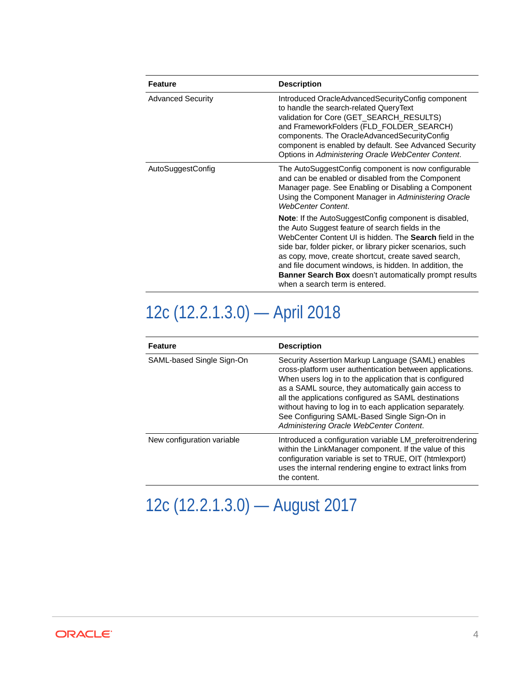| <b>Feature</b>           | <b>Description</b>                                                                                                                                                                                                                                                                                                                                                                                                                                                    |
|--------------------------|-----------------------------------------------------------------------------------------------------------------------------------------------------------------------------------------------------------------------------------------------------------------------------------------------------------------------------------------------------------------------------------------------------------------------------------------------------------------------|
| <b>Advanced Security</b> | Introduced OracleAdvancedSecurityConfig component<br>to handle the search-related QueryText<br>validation for Core (GET_SEARCH_RESULTS)<br>and FrameworkFolders (FLD_FOLDER_SEARCH)<br>components. The OracleAdvancedSecurityConfig<br>component is enabled by default. See Advanced Security<br>Options in Administering Oracle WebCenter Content.                                                                                                                   |
| AutoSuggestConfig        | The AutoSuggestConfig component is now configurable<br>and can be enabled or disabled from the Component<br>Manager page. See Enabling or Disabling a Component<br>Using the Component Manager in Administering Oracle<br><b>WebCenter Content.</b>                                                                                                                                                                                                                   |
|                          | <b>Note:</b> If the AutoSuggestConfig component is disabled,<br>the Auto Suggest feature of search fields in the<br>WebCenter Content UI is hidden. The <b>Search</b> field in the<br>side bar, folder picker, or library picker scenarios, such<br>as copy, move, create shortcut, create saved search,<br>and file document windows, is hidden. In addition, the<br><b>Banner Search Box</b> doesn't automatically prompt results<br>when a search term is entered. |

## 12c (12.2.1.3.0) — April 2018

| <b>Feature</b>             | <b>Description</b>                                                                                                                                                                                                                                                                                                                                                                                                                             |
|----------------------------|------------------------------------------------------------------------------------------------------------------------------------------------------------------------------------------------------------------------------------------------------------------------------------------------------------------------------------------------------------------------------------------------------------------------------------------------|
| SAML-based Single Sign-On  | Security Assertion Markup Language (SAML) enables<br>cross-platform user authentication between applications.<br>When users log in to the application that is configured<br>as a SAML source, they automatically gain access to<br>all the applications configured as SAML destinations<br>without having to log in to each application separately.<br>See Configuring SAML-Based Single Sign-On in<br>Administering Oracle WebCenter Content. |
| New configuration variable | Introduced a configuration variable LM_preferoitrendering<br>within the LinkManager component. If the value of this<br>configuration variable is set to TRUE, OIT (htmlexport)<br>uses the internal rendering engine to extract links from<br>the content.                                                                                                                                                                                     |

## 12c (12.2.1.3.0) — August 2017

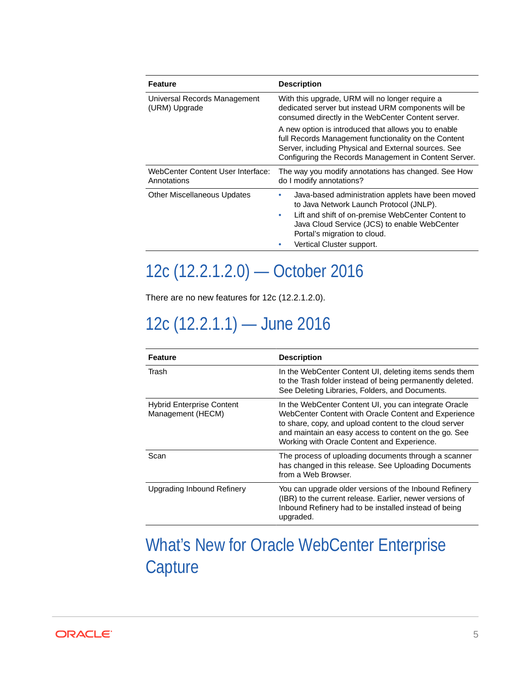<span id="page-4-0"></span>

| Feature                                          | <b>Description</b>                                                                                                                                                                                                            |
|--------------------------------------------------|-------------------------------------------------------------------------------------------------------------------------------------------------------------------------------------------------------------------------------|
| Universal Records Management<br>(URM) Upgrade    | With this upgrade, URM will no longer require a<br>dedicated server but instead URM components will be<br>consumed directly in the WebCenter Content server.                                                                  |
|                                                  | A new option is introduced that allows you to enable<br>full Records Management functionality on the Content<br>Server, including Physical and External sources. See<br>Configuring the Records Management in Content Server. |
| WebCenter Content User Interface:<br>Annotations | The way you modify annotations has changed. See How<br>do I modify annotations?                                                                                                                                               |
| <b>Other Miscellaneous Updates</b>               | Java-based administration applets have been moved<br>to Java Network Launch Protocol (JNLP).                                                                                                                                  |
|                                                  | Lift and shift of on-premise WebCenter Content to<br>۰<br>Java Cloud Service (JCS) to enable WebCenter<br>Portal's migration to cloud.                                                                                        |
|                                                  | Vertical Cluster support.                                                                                                                                                                                                     |

### 12c (12.2.1.2.0) — October 2016

There are no new features for 12c (12.2.1.2.0).

### 12c (12.2.1.1) — June 2016

| <b>Feature</b>                                        | <b>Description</b>                                                                                                                                                                                                                                                              |
|-------------------------------------------------------|---------------------------------------------------------------------------------------------------------------------------------------------------------------------------------------------------------------------------------------------------------------------------------|
| Trash                                                 | In the WebCenter Content UI, deleting items sends them<br>to the Trash folder instead of being permanently deleted.<br>See Deleting Libraries, Folders, and Documents.                                                                                                          |
| <b>Hybrid Enterprise Content</b><br>Management (HECM) | In the WebCenter Content UI, you can integrate Oracle<br>WebCenter Content with Oracle Content and Experience<br>to share, copy, and upload content to the cloud server<br>and maintain an easy access to content on the go. See<br>Working with Oracle Content and Experience. |
| Scan                                                  | The process of uploading documents through a scanner<br>has changed in this release. See Uploading Documents<br>from a Web Browser.                                                                                                                                             |
| <b>Upgrading Inbound Refinery</b>                     | You can upgrade older versions of the Inbound Refinery<br>(IBR) to the current release. Earlier, newer versions of<br>Inbound Refinery had to be installed instead of being<br>upgraded.                                                                                        |

### What's New for Oracle WebCenter Enterprise **Capture**

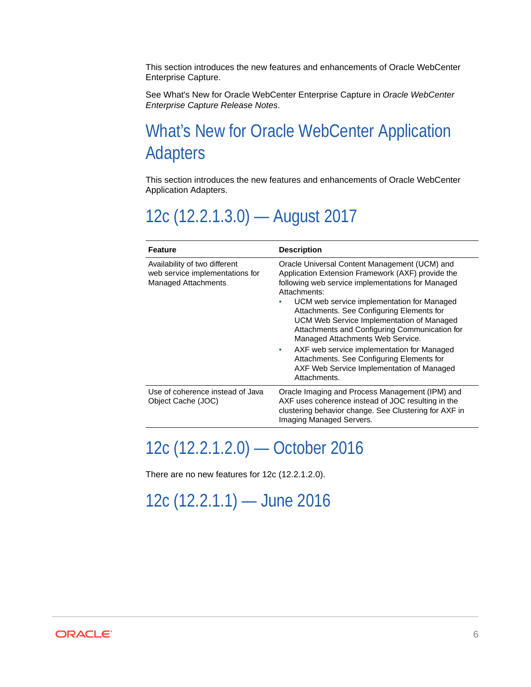<span id="page-5-0"></span>This section introduces the new features and enhancements of Oracle WebCenter Enterprise Capture.

See What's New for Oracle WebCenter Enterprise Capture in *Oracle WebCenter Enterprise Capture Release Notes*.

#### What's New for Oracle WebCenter Application Adapters

This section introduces the new features and enhancements of Oracle WebCenter Application Adapters.

#### 12c (12.2.1.3.0) — August 2017

| Feature                                                                                 | <b>Description</b>                                                                                                                                                                                                                                                                                                                                                                                                                                                                                                                                                |
|-----------------------------------------------------------------------------------------|-------------------------------------------------------------------------------------------------------------------------------------------------------------------------------------------------------------------------------------------------------------------------------------------------------------------------------------------------------------------------------------------------------------------------------------------------------------------------------------------------------------------------------------------------------------------|
| Availability of two different<br>web service implementations for<br>Managed Attachments | Oracle Universal Content Management (UCM) and<br>Application Extension Framework (AXF) provide the<br>following web service implementations for Managed<br>Attachments:<br>UCM web service implementation for Managed<br>Attachments. See Configuring Elements for<br>UCM Web Service Implementation of Managed<br>Attachments and Configuring Communication for<br>Managed Attachments Web Service.<br>AXF web service implementation for Managed<br>۰<br>Attachments. See Configuring Elements for<br>AXF Web Service Implementation of Managed<br>Attachments. |
| Use of coherence instead of Java<br>Object Cache (JOC)                                  | Oracle Imaging and Process Management (IPM) and<br>AXF uses coherence instead of JOC resulting in the<br>clustering behavior change. See Clustering for AXF in<br>Imaging Managed Servers.                                                                                                                                                                                                                                                                                                                                                                        |

#### 12c (12.2.1.2.0) — October 2016

There are no new features for 12c (12.2.1.2.0).

### 12c (12.2.1.1) — June 2016

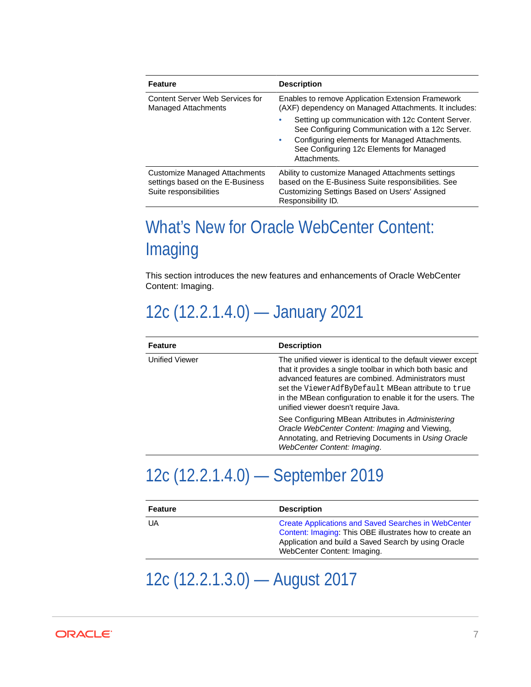<span id="page-6-0"></span>

| <b>Feature</b>                                                                              | <b>Description</b>                                                                                                                                                              |
|---------------------------------------------------------------------------------------------|---------------------------------------------------------------------------------------------------------------------------------------------------------------------------------|
| Content Server Web Services for<br><b>Managed Attachments</b>                               | Enables to remove Application Extension Framework<br>(AXF) dependency on Managed Attachments. It includes:                                                                      |
|                                                                                             | Setting up communication with 12c Content Server.<br>۰<br>See Configuring Communication with a 12c Server.                                                                      |
|                                                                                             | Configuring elements for Managed Attachments.<br>۰<br>See Configuring 12c Elements for Managed<br>Attachments.                                                                  |
| Customize Managed Attachments<br>settings based on the E-Business<br>Suite responsibilities | Ability to customize Managed Attachments settings<br>based on the E-Business Suite responsibilities. See<br>Customizing Settings Based on Users' Assigned<br>Responsibility ID. |

### What's New for Oracle WebCenter Content: Imaging

This section introduces the new features and enhancements of Oracle WebCenter Content: Imaging.

### 12c (12.2.1.4.0) — January 2021

| <b>Feature</b>        | <b>Description</b>                                                                                                                                                                                                                                                                                                                           |
|-----------------------|----------------------------------------------------------------------------------------------------------------------------------------------------------------------------------------------------------------------------------------------------------------------------------------------------------------------------------------------|
| <b>Unified Viewer</b> | The unified viewer is identical to the default viewer except<br>that it provides a single toolbar in which both basic and<br>advanced features are combined. Administrators must<br>set the ViewerAdfByDefault MBean attribute to true<br>in the MBean configuration to enable it for the users. The<br>unified viewer doesn't require Java. |
|                       | See Configuring MBean Attributes in Administering<br>Oracle WebCenter Content: Imaging and Viewing,<br>Annotating, and Retrieving Documents in Using Oracle<br>WebCenter Content: Imaging.                                                                                                                                                   |

### 12c (12.2.1.4.0) — September 2019

| <b>Feature</b> | <b>Description</b>                                                                                                                                                                                           |
|----------------|--------------------------------------------------------------------------------------------------------------------------------------------------------------------------------------------------------------|
| UA             | <b>Create Applications and Saved Searches in WebCenter</b><br>Content: Imaging: This OBE illustrates how to create an<br>Application and build a Saved Search by using Oracle<br>WebCenter Content: Imaging. |

#### 12c (12.2.1.3.0) — August 2017

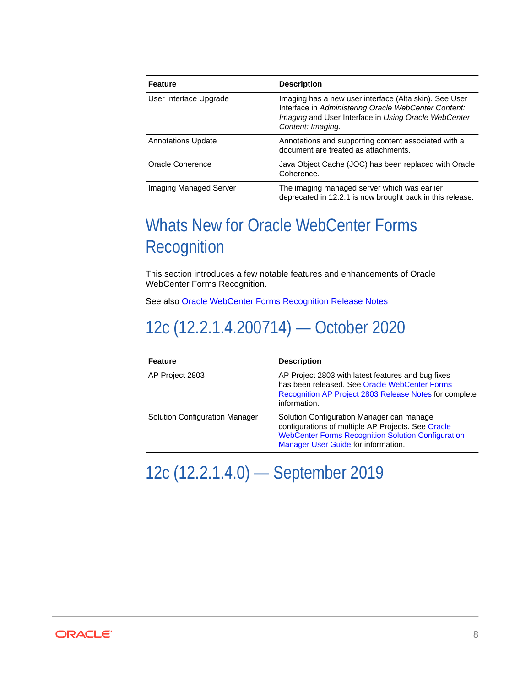<span id="page-7-0"></span>

| <b>Feature</b>            | <b>Description</b>                                                                                                                                                                          |
|---------------------------|---------------------------------------------------------------------------------------------------------------------------------------------------------------------------------------------|
| User Interface Upgrade    | Imaging has a new user interface (Alta skin). See User<br>Interface in Administering Oracle WebCenter Content:<br>Imaging and User Interface in Using Oracle WebCenter<br>Content: Imaging. |
| <b>Annotations Update</b> | Annotations and supporting content associated with a<br>document are treated as attachments.                                                                                                |
| Oracle Coherence          | Java Object Cache (JOC) has been replaced with Oracle<br>Coherence.                                                                                                                         |
| Imaging Managed Server    | The imaging managed server which was earlier<br>deprecated in 12.2.1 is now brought back in this release.                                                                                   |

#### Whats New for Oracle WebCenter Forms **Recognition**

This section introduces a few notable features and enhancements of Oracle WebCenter Forms Recognition.

See also [Oracle WebCenter Forms Recognition Release Notes](https://docs.oracle.com/en/middleware/webcenter/content/12.2.1.4/ofr-releasenotes/E95429_03.pdf)

### 12c (12.2.1.4.200714) — October 2020

| <b>Feature</b>                        | <b>Description</b>                                                                                                                                                                                  |
|---------------------------------------|-----------------------------------------------------------------------------------------------------------------------------------------------------------------------------------------------------|
| AP Project 2803                       | AP Project 2803 with latest features and bug fixes<br>has been released. See Oracle WebCenter Forms<br>Recognition AP Project 2803 Release Notes for complete<br>information.                       |
| <b>Solution Configuration Manager</b> | Solution Configuration Manager can manage<br>configurations of multiple AP Projects. See Oracle<br><b>WebCenter Forms Recognition Solution Configuration</b><br>Manager User Guide for information. |

12c (12.2.1.4.0) — September 2019

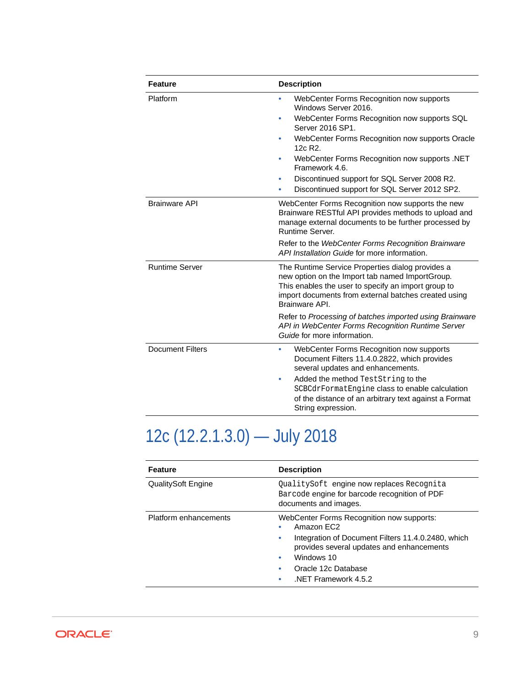| <b>Feature</b>          | <b>Description</b>                                                                                                                                                                                                                   |
|-------------------------|--------------------------------------------------------------------------------------------------------------------------------------------------------------------------------------------------------------------------------------|
| Platform                | WebCenter Forms Recognition now supports<br>۰<br>Windows Server 2016.                                                                                                                                                                |
|                         | WebCenter Forms Recognition now supports SQL<br>٠<br>Server 2016 SP1.                                                                                                                                                                |
|                         | WebCenter Forms Recognition now supports Oracle<br>۰<br>$12c$ R <sub>2</sub>                                                                                                                                                         |
|                         | WebCenter Forms Recognition now supports .NET<br>۰<br>Framework 4.6.                                                                                                                                                                 |
|                         | Discontinued support for SQL Server 2008 R2.<br>٠                                                                                                                                                                                    |
|                         | Discontinued support for SQL Server 2012 SP2.<br>۰                                                                                                                                                                                   |
| <b>Brainware API</b>    | WebCenter Forms Recognition now supports the new<br>Brainware RESTful API provides methods to upload and<br>manage external documents to be further processed by<br>Runtime Server.                                                  |
|                         | Refer to the WebCenter Forms Recognition Brainware<br>API Installation Guide for more information.                                                                                                                                   |
| <b>Runtime Server</b>   | The Runtime Service Properties dialog provides a<br>new option on the Import tab named ImportGroup.<br>This enables the user to specify an import group to<br>import documents from external batches created using<br>Brainware API. |
|                         | Refer to Processing of batches imported using Brainware<br>API in WebCenter Forms Recognition Runtime Server<br>Guide for more information.                                                                                          |
| <b>Document Filters</b> | WebCenter Forms Recognition now supports<br>۰<br>Document Filters 11.4.0.2822, which provides<br>several updates and enhancements.<br>Added the method TestString to the<br>٠                                                        |
|                         | SCBCdrFormatEngine class to enable calculation<br>of the distance of an arbitrary text against a Format<br>String expression.                                                                                                        |

# 12c (12.2.1.3.0) — July 2018

| <b>Feature</b>        | <b>Description</b>                                                                                                                                                                                                                         |
|-----------------------|--------------------------------------------------------------------------------------------------------------------------------------------------------------------------------------------------------------------------------------------|
| QualitySoft Engine    | QualitySoft engine now replaces Recognita<br>Barcode engine for barcode recognition of PDF<br>documents and images.                                                                                                                        |
| Platform enhancements | WebCenter Forms Recognition now supports:<br>Amazon FC2<br>Integration of Document Filters 11.4.0.2480, which<br>۰<br>provides several updates and enhancements<br>Windows 10<br>۰<br>Oracle 12c Database<br>۰<br>NET Framework 4.5.2<br>۰ |

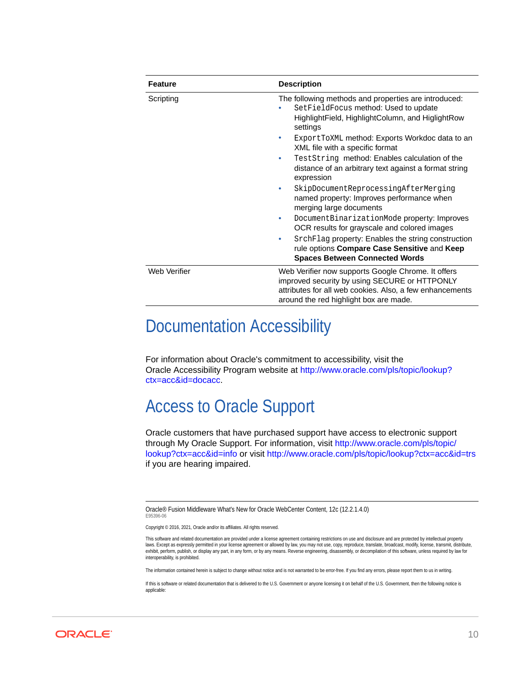| <b>Feature</b> | <b>Description</b>                                                                                                                                                                                        |
|----------------|-----------------------------------------------------------------------------------------------------------------------------------------------------------------------------------------------------------|
| Scripting      | The following methods and properties are introduced:<br>SetFieldFocus method: Used to update<br>HighlightField, HighlightColumn, and HiglightRow<br>settings                                              |
|                | Export ToXML method: Exports Workdoc data to an<br>XML file with a specific format                                                                                                                        |
|                | TestString method: Enables calculation of the<br>distance of an arbitrary text against a format string<br>expression                                                                                      |
|                | SkipDocumentReprocessingAfterMerging<br>named property: Improves performance when<br>merging large documents                                                                                              |
|                | DocumentBinarizationMode property: Improves<br>۰<br>OCR results for grayscale and colored images                                                                                                          |
|                | SrchFlag property: Enables the string construction<br>rule options Compare Case Sensitive and Keep<br><b>Spaces Between Connected Words</b>                                                               |
| Web Verifier   | Web Verifier now supports Google Chrome. It offers<br>improved security by using SECURE or HTTPONLY<br>attributes for all web cookies. Also, a few enhancements<br>around the red highlight box are made. |

#### Documentation Accessibility

For information about Oracle's commitment to accessibility, visit the Oracle Accessibility Program website at [http://www.oracle.com/pls/topic/lookup?](http://www.oracle.com/pls/topic/lookup?ctx=acc&id=docacc) [ctx=acc&id=docacc](http://www.oracle.com/pls/topic/lookup?ctx=acc&id=docacc).

#### Access to Oracle Support

Oracle customers that have purchased support have access to electronic support through My Oracle Support. For information, visit [http://www.oracle.com/pls/topic/](http://www.oracle.com/pls/topic/lookup?ctx=acc&id=info) [lookup?ctx=acc&id=info](http://www.oracle.com/pls/topic/lookup?ctx=acc&id=info) or visit<http://www.oracle.com/pls/topic/lookup?ctx=acc&id=trs> if you are hearing impaired.

Oracle® Fusion Middleware What's New for Oracle WebCenter Content, 12c (12.2.1.4.0) E95396-06

Copyright © 2016, 2021, Oracle and/or its affiliates. All rights reserved.

This software and related documentation are provided under a license agreement containing restrictions on use and disclosure and are protected by intellectual property laws. Except as expressly permitted in your license agreement or allowed by law, you may not use, copy, reproduce, translate, broadcast, modify, license, transmit, distribute, exhibit, perform, publish, or display any part, in any form, or by any means. Reverse engineering, disassembly, or decompilation of this software, unless required by law for interoperability, is prohibited.

The information contained herein is subject to change without notice and is not warranted to be error-free. If you find any errors, please report them to us in writing.

If this is software or related documentation that is delivered to the U.S. Government or anyone licensing it on behalf of the U.S. Government, then the following notice is applicable: